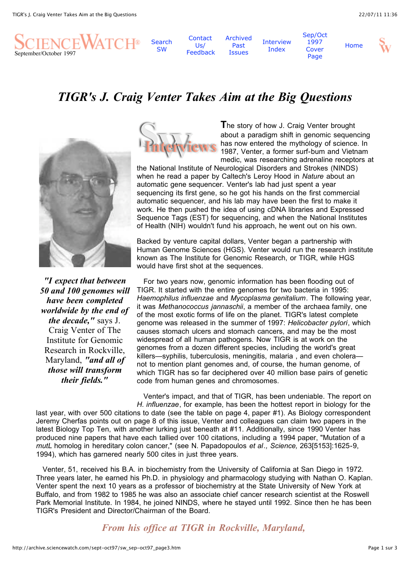

**[Search](http://archive.sciencewatch.com/search.html)** SW

[Archived](http://archive.sciencewatch.com/archives.htm) Past **Issues** 

[Interview](http://archive.sciencewatch.com/interviews/interviews.htm) Index [Sep/Oct](http://archive.sciencewatch.com/sept-oct97/index.html) 1997 Cover Page

[Home](http://archive.sciencewatch.com/index.html)



# *TIGR's J. Craig Venter Takes Aim at the Big Questions*

**Contact**  $Us/$ [Feedback](http://archive.sciencewatch.com/contact.htm)



*"I expect that between 50 and 100 genomes will have been completed worldwide by the end of the decade,"* says J. Craig Venter of The Institute for Genomic Research in Rockville, Maryland, *"and all of those will transform their fields."*



**T**he story of how J. Craig Venter brought about a paradigm shift in genomic sequencing has now entered the mythology of science. In 1987, Venter, a former surf-bum and Vietnam medic, was researching adrenaline receptors at

the National Institute of Neurological Disorders and Strokes (NINDS) when he read a paper by Caltech's Leroy Hood in *Nature* about an automatic gene sequencer. Venter's lab had just spent a year sequencing its first gene, so he got his hands on the first commercial automatic sequencer, and his lab may have been the first to make it work. He then pushed the idea of using cDNA libraries and Expressed Sequence Tags (EST) for sequencing, and when the National Institutes of Health (NIH) wouldn't fund his approach, he went out on his own.

Backed by venture capital dollars, Venter began a partnership with Human Genome Sciences (HGS). Venter would run the research institute known as The Institute for Genomic Research, or TIGR, while HGS would have first shot at the sequences.

 For two years now, genomic information has been flooding out of TIGR. It started with the entire genomes for two bacteria in 1995: *Haemophilus influenzae* and *Mycoplasma genitalium*. The following year, it was *Methanococcus jannaschii*, a member of the archaea family, one of the most exotic forms of life on the planet. TIGR's latest complete genome was released in the summer of 1997: *Helicobacter pylori*, which causes stomach ulcers and stomach cancers, and may be the most widespread of all human pathogens. Now TIGR is at work on the genomes from a dozen different species, including the world's great killers—syphilis, tuberculosis, meningitis, malaria , and even cholera not to mention plant genomes and, of course, the human genome, of which TIGR has so far deciphered over 40 million base pairs of genetic code from human genes and chromosomes.

 Venter's impact, and that of TIGR, has been undeniable. The report on *H. influenzae*, for example, has been the hottest report in biology for the

last year, with over 500 citations to date (see the table on page 4, paper #1). As Biology correspondent Jeremy Cherfas points out on page 8 of this issue, Venter and colleagues can claim two papers in the latest Biology Top Ten, with another lurking just beneath at #11. Additionally, since 1990 Venter has produced nine papers that have each tallied over 100 citations, including a 1994 paper, "Mutation of a *mutL* homolog in hereditary colon cancer," (see N. Papadopoulos *et al*.*, Science,* 263[5153]:1625-9, 1994), which has garnered nearly 500 cites in just three years.

 Venter, 51, received his B.A. in biochemistry from the University of California at San Diego in 1972. Three years later, he earned his Ph.D. in physiology and pharmacology studying with Nathan O. Kaplan. Venter spent the next 10 years as a professor of biochemistry at the State University of New York at Buffalo, and from 1982 to 1985 he was also an associate chief cancer research scientist at the Roswell Park Memorial Institute. In 1984, he joined NINDS, where he stayed until 1992. Since then he has been TIGR's President and Director/Chairman of the Board.

*From his office at TIGR in Rockville, Maryland,*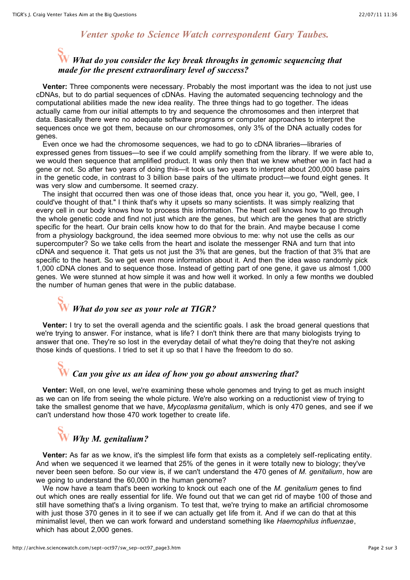#### *Venter spoke to Science Watch correspondent Gary Taubes.*

## *What do you consider the key break throughs in genomic sequencing that made for the present extraordinary level of success?*

 **Venter:** Three components were necessary. Probably the most important was the idea to not just use cDNAs, but to do partial sequences of cDNAs. Having the automated sequencing technology and the computational abilities made the new idea reality. The three things had to go together. The ideas actually came from our initial attempts to try and sequence the chromosomes and then interpret that data. Basically there were no adequate software programs or computer approaches to interpret the sequences once we got them, because on our chromosomes, only 3% of the DNA actually codes for genes.

 Even once we had the chromosome sequences, we had to go to cDNA libraries—libraries of expressed genes from tissues—to see if we could amplify something from the library. If we were able to, we would then sequence that amplified product. It was only then that we knew whether we in fact had a gene or not. So after two years of doing this—it took us two years to interpret about 200,000 base pairs in the genetic code, in contrast to 3 billion base pairs of the ultimate product—we found eight genes. It was very slow and cumbersome. It seemed crazy.

 The insight that occurred then was one of those ideas that, once you hear it, you go, "Well, gee, I could've thought of that." I think that's why it upsets so many scientists. It was simply realizing that every cell in our body knows how to process this information. The heart cell knows how to go through the whole genetic code and find not just which are the genes, but which are the genes that are strictly specific for the heart. Our brain cells know how to do that for the brain. And maybe because I come from a physiology background, the idea seemed more obvious to me: why not use the cells as our supercomputer? So we take cells from the heart and isolate the messenger RNA and turn that into cDNA and sequence it. That gets us not just the 3% that are genes, but the fraction of that 3% that are specific to the heart. So we get even more information about it. And then the idea waso randomly pick 1,000 cDNA clones and to sequence those. Instead of getting part of one gene, it gave us almost 1,000 genes. We were stunned at how simple it was and how well it worked. In only a few months we doubled the number of human genes that were in the public database.

# *What do you see as your role at TIGR?*

 **Venter:** I try to set the overall agenda and the scientific goals. I ask the broad general questions that we're trying to answer. For instance, what is life? I don't think there are that many biologists trying to answer that one. They're so lost in the everyday detail of what they're doing that they're not asking those kinds of questions. I tried to set it up so that I have the freedom to do so.

## *Can you give us an idea of how you go about answering that?*

 **Venter:** Well, on one level, we're examining these whole genomes and trying to get as much insight as we can on life from seeing the whole picture. We're also working on a reductionist view of trying to take the smallest genome that we have, *Mycoplasma genitalium*, which is only 470 genes, and see if we can't understand how those 470 work together to create life.

## *Why M. genitalium?*

 **Venter:** As far as we know, it's the simplest life form that exists as a completely self-replicating entity. And when we sequenced it we learned that 25% of the genes in it were totally new to biology; they've never been seen before. So our view is, if we can't understand the 470 genes of *M. genitalium*, how are we going to understand the 60,000 in the human genome?

 We now have a team that's been working to knock out each one of the *M. genitalium* genes to find out which ones are really essential for life. We found out that we can get rid of maybe 100 of those and still have something that's a living organism. To test that, we're trying to make an artificial chromosome with just those 370 genes in it to see if we can actually get life from it. And if we can do that at this minimalist level, then we can work forward and understand something like *Haemophilus influenzae*, which has about 2,000 genes.